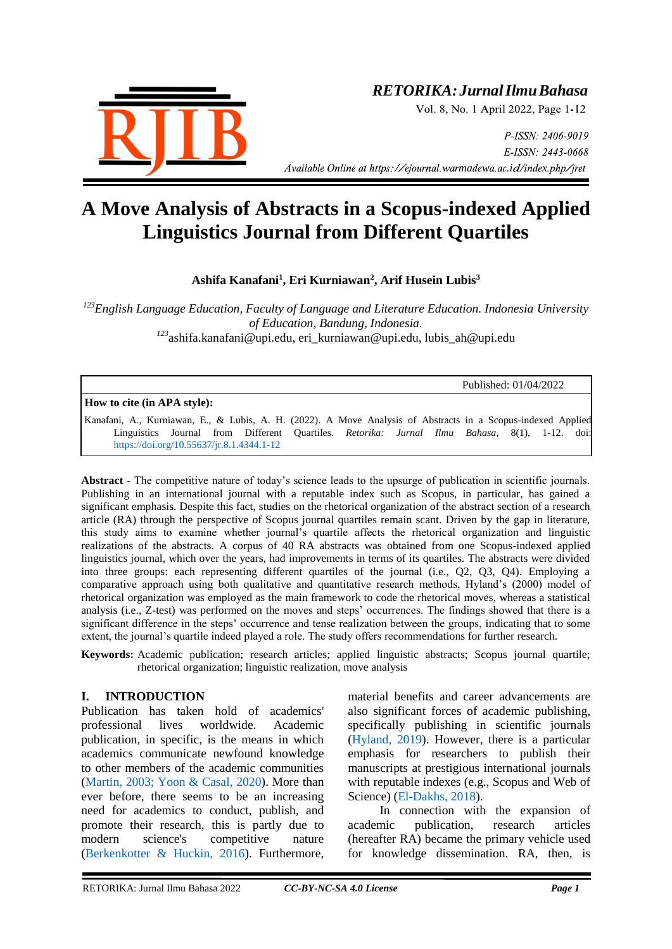

# *RETORIKA:JurnalIlmuBahasa*

Vol. 8, No. 1 April 2022, Page 1-12

P-ISSN: 2406-9019 E-ISSN: 2443-0668 *Available Online at https://ejournal.warmadewa.ac.id/index.php/jret* 

# **A Move Analysis of Abstracts in a Scopus-indexed Applied Linguistics Journal from Different Quartiles**

**Ashifa Kanafani<sup>1</sup> , Eri Kurniawan<sup>2</sup> , Arif Husein Lubis<sup>3</sup>**

*<sup>123</sup>English Language Education, Faculty of Language and Literature Education. Indonesia University of Education, Bandung, Indonesia. <sup>123</sup>*ashifa.kanafani@upi.edu, eri\_kurniawan@upi.edu, [lubis\\_ah@upi.edu](mailto:lubis_ah@upi.edu)

Published: 01/04/2022

**How to cite (in APA style):**

Kanafani, A., Kurniawan, E., & Lubis, A. H. (2022). A Move Analysis of Abstracts in a Scopus-indexed Applied Linguistics Journal from Different Quartiles. *Retorika: Jurnal Ilmu Bahasa*, 8(1), 1-12. doi: <https://doi.org/10.55637/jr.8.1.4344.1-12>

**Abstract -** The competitive nature of today's science leads to the upsurge of publication in scientific journals. Publishing in an international journal with a reputable index such as Scopus, in particular, has gained a significant emphasis. Despite this fact, studies on the rhetorical organization of the abstract section of a research article (RA) through the perspective of Scopus journal quartiles remain scant. Driven by the gap in literature, this study aims to examine whether journal's quartile affects the rhetorical organization and linguistic realizations of the abstracts. A corpus of 40 RA abstracts was obtained from one Scopus-indexed applied linguistics journal, which over the years, had improvements in terms of its quartiles. The abstracts were divided into three groups: each representing different quartiles of the journal (i.e., Q2, Q3, Q4). Employing a comparative approach using both qualitative and quantitative research methods, Hyland's (2000) model of rhetorical organization was employed as the main framework to code the rhetorical moves, whereas a statistical analysis (i.e., Z-test) was performed on the moves and steps' occurrences. The findings showed that there is a significant difference in the steps' occurrence and tense realization between the groups, indicating that to some extent, the journal's quartile indeed played a role. The study offers recommendations for further research.

**Keywords:** Academic publication; research articles; applied linguistic abstracts; Scopus journal quartile; rhetorical organization; linguistic realization, move analysis

#### **I. INTRODUCTION**

Publication has taken hold of academics' professional lives worldwide. Academic publication, in specific, is the means in which academics communicate newfound knowledge to other members of the academic communities [\(Martin, 2003; Yoon & Casal, 2020\)](#page-9-0). More than ever before, there seems to be an increasing need for academics to conduct, publish, and promote their research, this is partly due to modern science's competitive nature [\(Berkenkotter & Huckin, 2016\)](#page-9-0). Furthermore,

material benefits and career advancements are also significant forces of academic publishing, specifically publishing in scientific journals [\(Hyland, 2019\)](#page-9-0). However, there is a particular emphasis for researchers to publish their manuscripts at prestigious international journals with reputable indexes (e.g., Scopus and Web of Science) [\(El-Dakhs, 2018\)](#page-9-0).

In connection with the expansion of academic publication, research articles (hereafter RA) became the primary vehicle used for knowledge dissemination. RA, then, is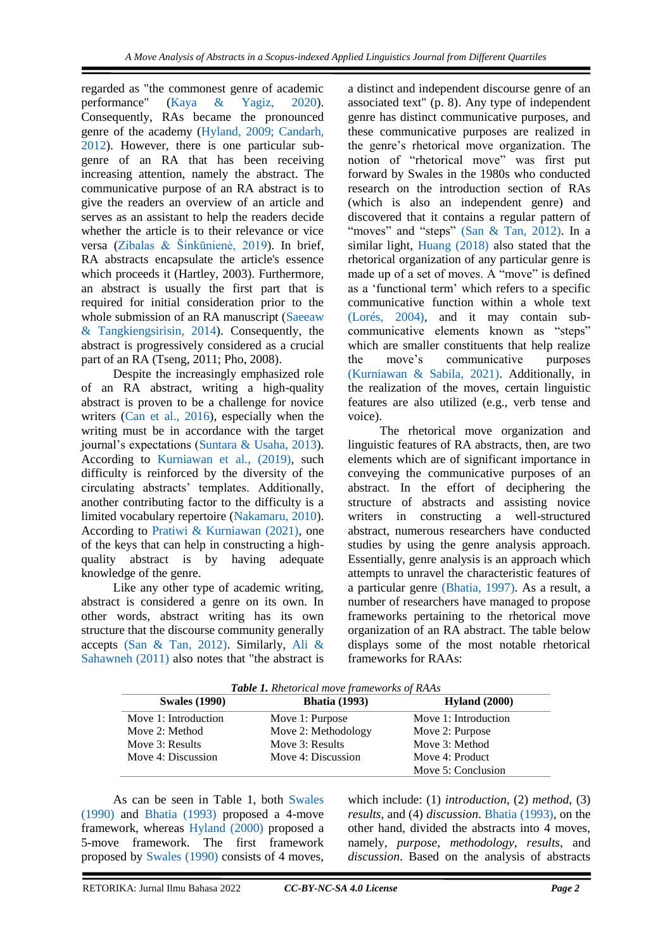regarded as "the commonest genre of academic performance" [\(Kaya & Yagiz, 2020\)](#page-9-0). Consequently, RAs became the pronounced genre of the academy [\(Hyland, 2009; Candarh,](#page-9-0)  [2012\)](#page-9-0). However, there is one particular subgenre of an RA that has been receiving increasing attention, namely the abstract. The communicative purpose of an RA abstract is to give the readers an overview of an article and serves as an assistant to help the readers decide whether the article is to their relevance or vice versa [\(Zibalas & Šinkūnienė, 2019\)](#page-9-0). In brief, RA abstracts encapsulate the article's essence which proceeds it (Hartley, 2003). Furthermore, an abstract is usually the first part that is required for initial consideration prior to the whole submission of an RA manuscript (Saeeaw [& Tangkiengsirisin, 2014\)](#page-9-0). Consequently, the abstract is progressively considered as a crucial part of an RA (Tseng, 2011; Pho, 2008).

Despite the increasingly emphasized role of an RA abstract, writing a high-quality abstract is proven to be a challenge for novice writers [\(Can et al., 2016\)](#page-9-0), especially when the writing must be in accordance with the target journal's expectations [\(Suntara & Usaha, 2013\)](#page-9-0). According to [Kurniawan et al., \(2019\),](#page-9-0) such difficulty is reinforced by the diversity of the circulating abstracts' templates. Additionally, another contributing factor to the difficulty is a limited vocabulary repertoire [\(Nakamaru, 2010\)](#page-9-0). According to [Pratiwi & Kurniawan \(2021\),](#page-9-0) one of the keys that can help in constructing a highquality abstract is by having adequate knowledge of the genre.

Like any other type of academic writing, abstract is considered a genre on its own. In other words, abstract writing has its own structure that the discourse community generally accepts [\(San & Tan, 2012\).](#page-9-0) Similarly, [Ali &](#page-9-0)  [Sahawneh \(2011\)](#page-9-0) also notes that "the abstract is a distinct and independent discourse genre of an associated text" (p. 8). Any type of independent genre has distinct communicative purposes, and these communicative purposes are realized in the genre's rhetorical move organization. The notion of "rhetorical move" was first put forward by Swales in the 1980s who conducted research on the introduction section of RAs (which is also an independent genre) and discovered that it contains a regular pattern of "moves" and "steps" [\(San & Tan, 2012\).](#page-9-0) In a similar light, [Huang \(2018\)](#page-9-0) also stated that the rhetorical organization of any particular genre is made up of a set of moves. A "move" is defined as a 'functional term' which refers to a specific communicative function within a whole text [\(Lorés, 2004\),](#page-9-0) and it may contain subcommunicative elements known as "steps" which are smaller constituents that help realize the move's communicative purposes [\(Kurniawan & Sabila, 2021\).](#page-9-0) Additionally, in the realization of the moves, certain linguistic features are also utilized (e.g., verb tense and voice).

The rhetorical move organization and linguistic features of RA abstracts, then, are two elements which are of significant importance in conveying the communicative purposes of an abstract. In the effort of deciphering the structure of abstracts and assisting novice writers in constructing a well-structured abstract, numerous researchers have conducted studies by using the genre analysis approach. Essentially, genre analysis is an approach which attempts to unravel the characteristic features of a particular genre [\(Bhatia, 1997\).](#page-9-0) As a result, a number of researchers have managed to propose frameworks pertaining to the rhetorical move organization of an RA abstract. The table below displays some of the most notable rhetorical frameworks for RAAs:

| <b>Swales</b> (1990) | <b>Bhatia</b> (1993) | Hyland $(2000)$      |
|----------------------|----------------------|----------------------|
| Move 1: Introduction | Move 1: Purpose      | Move 1: Introduction |
| Move 2: Method       | Move 2: Methodology  | Move 2: Purpose      |
| Move 3: Results      | Move 3: Results      | Move 3: Method       |
| Move 4: Discussion   | Move 4: Discussion   | Move 4: Product      |
|                      |                      | Move 5: Conclusion   |

*Table 1. Rhetorical move frameworks of RAAs*

As can be seen in Table 1, both [Swales](#page-9-0)  [\(1990\)](#page-9-0) and [Bhatia \(1993\)](#page-9-0) proposed a 4-move framework, whereas [Hyland \(2000\)](#page-9-0) proposed a 5-move framework. The first framework proposed by [Swales \(1990\)](#page-9-0) consists of 4 moves,

which include: (1) *introduction*, (2) *method*, (3) *results*, and (4) *discussion*. [Bhatia \(1993\),](#page-9-0) on the other hand, divided the abstracts into 4 moves, namely, *purpose*, *methodology*, *results*, and *discussion*. Based on the analysis of abstracts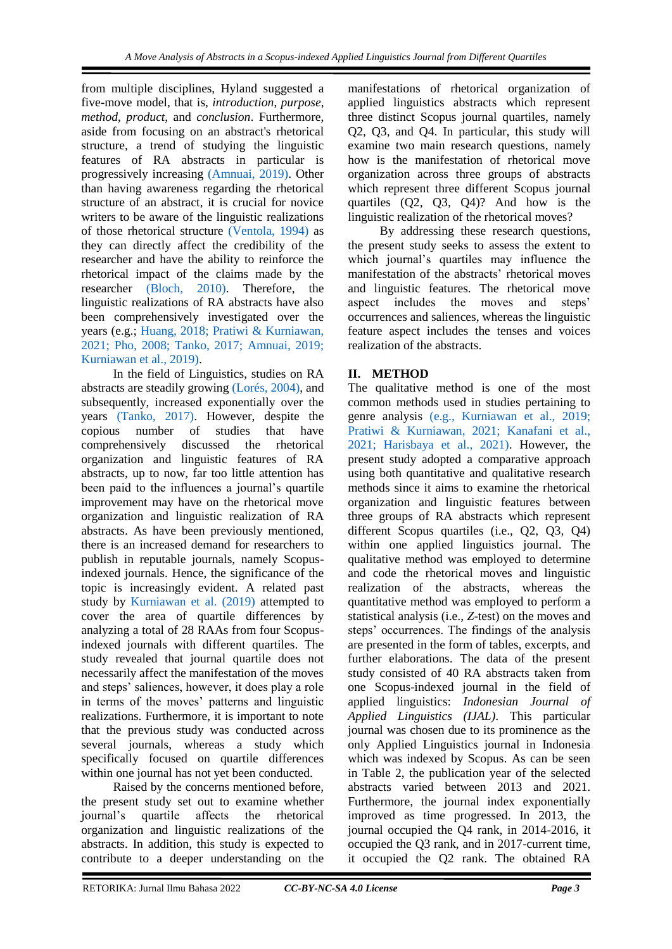from multiple disciplines, Hyland suggested a five-move model, that is, *introduction*, *purpose*, *method*, *product*, and *conclusion*. Furthermore, aside from focusing on an abstract's rhetorical structure, a trend of studying the linguistic features of RA abstracts in particular is progressively increasing [\(Amnuai, 2019\).](#page-9-0) Other than having awareness regarding the rhetorical structure of an abstract, it is crucial for novice writers to be aware of the linguistic realizations of those rhetorical structure [\(Ventola, 1994\)](#page-9-0) as they can directly affect the credibility of the researcher and have the ability to reinforce the rhetorical impact of the claims made by the researcher [\(Bloch, 2010\).](#page-9-0) Therefore, the linguistic realizations of RA abstracts have also been comprehensively investigated over the years (e.g.; [Huang, 2018; Pratiwi & Kurniawan,](#page-9-0)  [2021; Pho, 2008; Tanko, 2017; Amnuai, 2019;](#page-9-0)  [Kurniawan et al., 2019\).](#page-9-0)

In the field of Linguistics, studies on RA abstracts are steadily growing [\(Lorés, 2004\),](#page-9-0) and subsequently, increased exponentially over the years [\(Tanko, 2017\).](#page-9-0) However, despite the copious number of studies that have comprehensively discussed the rhetorical organization and linguistic features of RA abstracts, up to now, far too little attention has been paid to the influences a journal's quartile improvement may have on the rhetorical move organization and linguistic realization of RA abstracts. As have been previously mentioned, there is an increased demand for researchers to publish in reputable journals, namely Scopusindexed journals. Hence, the significance of the topic is increasingly evident. A related past study by [Kurniawan et al. \(2019\)](#page-9-0) attempted to cover the area of quartile differences by analyzing a total of 28 RAAs from four Scopusindexed journals with different quartiles. The study revealed that journal quartile does not necessarily affect the manifestation of the moves and steps' saliences, however, it does play a role in terms of the moves' patterns and linguistic realizations. Furthermore, it is important to note that the previous study was conducted across several journals, whereas a study which specifically focused on quartile differences within one journal has not yet been conducted.

Raised by the concerns mentioned before, the present study set out to examine whether journal's quartile affects the rhetorical organization and linguistic realizations of the abstracts. In addition, this study is expected to contribute to a deeper understanding on the

manifestations of rhetorical organization of applied linguistics abstracts which represent three distinct Scopus journal quartiles, namely Q2, Q3, and Q4. In particular, this study will examine two main research questions, namely how is the manifestation of rhetorical move organization across three groups of abstracts which represent three different Scopus journal quartiles (Q2, Q3, Q4)? And how is the linguistic realization of the rhetorical moves?

By addressing these research questions, the present study seeks to assess the extent to which journal's quartiles may influence the manifestation of the abstracts' rhetorical moves and linguistic features. The rhetorical move aspect includes the moves and steps' occurrences and saliences, whereas the linguistic feature aspect includes the tenses and voices realization of the abstracts.

# **II. METHOD**

The qualitative method is one of the most common methods used in studies pertaining to genre analysis [\(e.g., Kurniawan et al., 2019;](#page-9-0)  [Pratiwi & Kurniawan, 2021; Kanafani et al.,](#page-9-0)  [2021; Harisbaya et al., 2021\).](#page-9-0) However, the present study adopted a comparative approach using both quantitative and qualitative research methods since it aims to examine the rhetorical organization and linguistic features between three groups of RA abstracts which represent different Scopus quartiles (i.e., Q2, Q3, Q4) within one applied linguistics journal. The qualitative method was employed to determine and code the rhetorical moves and linguistic realization of the abstracts, whereas the quantitative method was employed to perform a statistical analysis (i.e., *Z*-test) on the moves and steps' occurrences. The findings of the analysis are presented in the form of tables, excerpts, and further elaborations. The data of the present study consisted of 40 RA abstracts taken from one Scopus-indexed journal in the field of applied linguistics: *Indonesian Journal of Applied Linguistics (IJAL)*. This particular journal was chosen due to its prominence as the only Applied Linguistics journal in Indonesia which was indexed by Scopus. As can be seen in Table 2, the publication year of the selected abstracts varied between 2013 and 2021. Furthermore, the journal index exponentially improved as time progressed. In 2013, the journal occupied the Q4 rank, in 2014-2016, it occupied the Q3 rank, and in 2017-current time, it occupied the Q2 rank. The obtained RA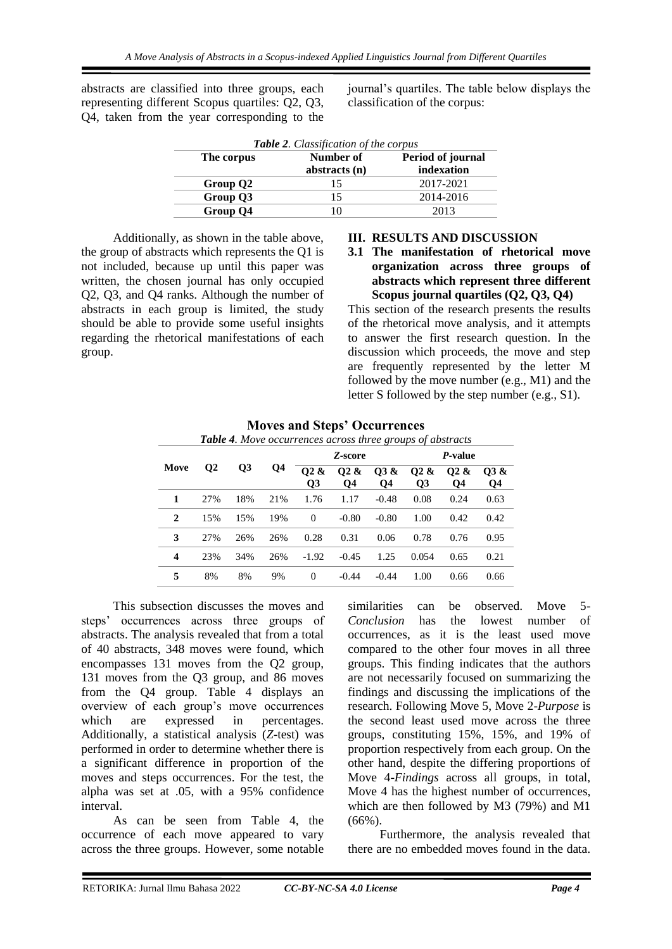abstracts are classified into three groups, each representing different Scopus quartiles: Q2, Q3, Q4, taken from the year corresponding to the journal's quartiles. The table below displays the classification of the corpus:

| <b>Table 2.</b> Classification of the corpus |               |                   |  |  |  |  |  |
|----------------------------------------------|---------------|-------------------|--|--|--|--|--|
| The corpus                                   | Number of     | Period of journal |  |  |  |  |  |
|                                              | abstracts (n) | indexation        |  |  |  |  |  |
| Group Q2                                     | 15            | 2017-2021         |  |  |  |  |  |
| Group Q3                                     | 15            | 2014-2016         |  |  |  |  |  |
| Group Q4                                     | 10            | 2013              |  |  |  |  |  |

Additionally, as shown in the table above, the group of abstracts which represents the Q1 is not included, because up until this paper was written, the chosen journal has only occupied Q2, Q3, and Q4 ranks. Although the number of abstracts in each group is limited, the study should be able to provide some useful insights regarding the rhetorical manifestations of each group.

#### **III. RESULTS AND DISCUSSION**

**3.1 The manifestation of rhetorical move organization across three groups of abstracts which represent three different Scopus journal quartiles (Q2, Q3, Q4)**

This section of the research presents the results of the rhetorical move analysis, and it attempts to answer the first research question. In the discussion which proceeds, the move and step are frequently represented by the letter M followed by the move number (e.g., M1) and the letter S followed by the step number (e.g., S1).

| <b>Table +.</b> MOVE occurrences across three groups of abstracts |              |     |     |                                     |                        |            |                                    |                        |                       |
|-------------------------------------------------------------------|--------------|-----|-----|-------------------------------------|------------------------|------------|------------------------------------|------------------------|-----------------------|
|                                                                   |              |     |     | Z-score                             |                        |            | <i>P</i> -value                    |                        |                       |
| Move                                                              | $\mathbf{Q}$ | Q3  | Q4  | O <sub>2</sub> &<br>$\overline{O3}$ | O <sub>2</sub> &<br>Q4 | Q3 &<br>Q4 | O <sub>2</sub> &<br>Q <sub>3</sub> | O <sub>2</sub> &<br>Q4 | <b>03 &amp;</b><br>Q4 |
| 1                                                                 | 27%          | 18% | 21% | 1.76                                | 1.17                   | $-0.48$    | 0.08                               | 0.24                   | 0.63                  |
| $\mathbf{2}$                                                      | 15%          | 15% | 19% | $\Omega$                            | $-0.80$                | $-0.80$    | 1.00                               | 0.42                   | 0.42                  |
| 3                                                                 | 27%          | 26% | 26% | 0.28                                | 0.31                   | 0.06       | 0.78                               | 0.76                   | 0.95                  |
| $\boldsymbol{4}$                                                  | 23%          | 34% | 26% | $-1.92$                             | $-0.45$                | 1.25       | 0.054                              | 0.65                   | 0.21                  |
| 5                                                                 | 8%           | 8%  | 9%  | $\Omega$                            | $-0.44$                | $-0.44$    | 1.00                               | 0.66                   | 0.66                  |

**Moves and Steps' Occurrences** *Table 4. Move occurrences across three groups of abstracts*

This subsection discusses the moves and steps' occurrences across three groups of abstracts. The analysis revealed that from a total of 40 abstracts, 348 moves were found, which encompasses 131 moves from the Q2 group, 131 moves from the Q3 group, and 86 moves from the Q4 group. Table 4 displays an overview of each group's move occurrences which are expressed in percentages. Additionally, a statistical analysis (*Z-*test) was performed in order to determine whether there is a significant difference in proportion of the moves and steps occurrences. For the test, the alpha was set at .05, with a 95% confidence interval.

As can be seen from Table 4, the occurrence of each move appeared to vary across the three groups. However, some notable similarities can be observed. Move 5- *Conclusion* has the lowest number of occurrences, as it is the least used move compared to the other four moves in all three groups. This finding indicates that the authors are not necessarily focused on summarizing the findings and discussing the implications of the research. Following Move 5, Move 2-*Purpose* is the second least used move across the three groups, constituting 15%, 15%, and 19% of proportion respectively from each group. On the other hand, despite the differing proportions of Move 4-*Findings* across all groups, in total, Move 4 has the highest number of occurrences, which are then followed by M3 (79%) and M1  $(66\%)$ .

Furthermore, the analysis revealed that there are no embedded moves found in the data.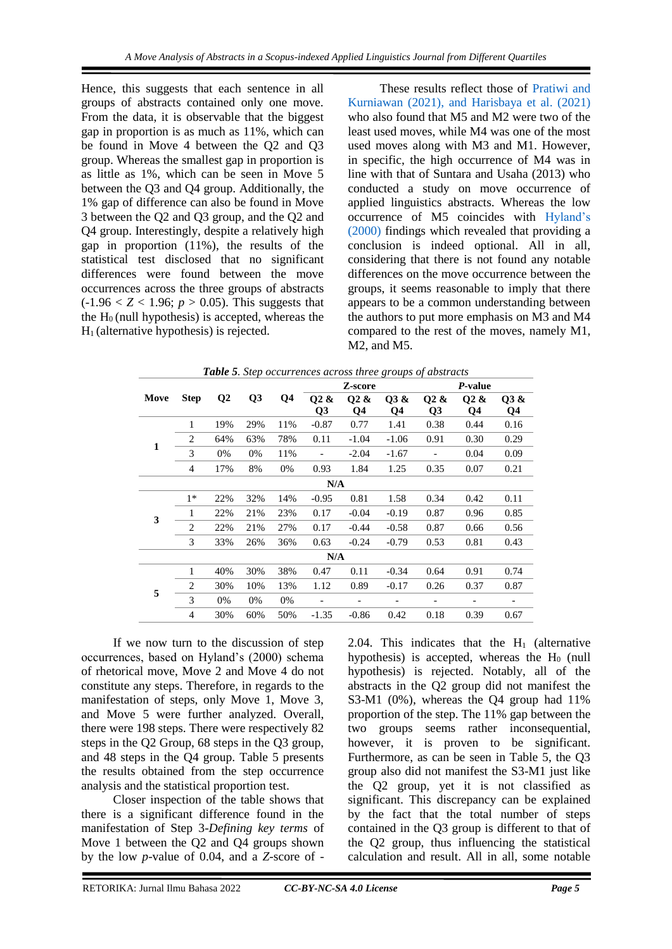Hence, this suggests that each sentence in all groups of abstracts contained only one move. From the data, it is observable that the biggest gap in proportion is as much as 11%, which can be found in Move 4 between the Q2 and Q3 group. Whereas the smallest gap in proportion is as little as 1%, which can be seen in Move 5 between the Q3 and Q4 group. Additionally, the 1% gap of difference can also be found in Move 3 between the Q2 and Q3 group, and the Q2 and Q4 group. Interestingly, despite a relatively high gap in proportion (11%), the results of the statistical test disclosed that no significant differences were found between the move occurrences across the three groups of abstracts  $(-1.96 < Z < 1.96; p > 0.05)$ . This suggests that the  $H<sub>0</sub>$  (null hypothesis) is accepted, whereas the  $H<sub>1</sub>$  (alternative hypothesis) is rejected.

These results reflect those of [Pratiwi and](#page-9-0)  [Kurniawan \(2021\), and Harisbaya et al. \(2021\)](#page-9-0) who also found that M5 and M2 were two of the least used moves, while M4 was one of the most used moves along with M3 and M1. However, in specific, the high occurrence of M4 was in line with that of Suntara and Usaha (2013) who conducted a study on move occurrence of applied linguistics abstracts. Whereas the low occurrence of M5 coincides with [Hyland's](#page-9-0)  [\(2000\)](#page-9-0) findings which revealed that providing a conclusion is indeed optional. All in all, considering that there is not found any notable differences on the move occurrence between the groups, it seems reasonable to imply that there appears to be a common understanding between the authors to put more emphasis on M3 and M4 compared to the rest of the moves, namely M1, M2, and M5.

|              |              |          |                |                |                | Z-score          |                          |                              | P-value                      |      |
|--------------|--------------|----------|----------------|----------------|----------------|------------------|--------------------------|------------------------------|------------------------------|------|
| Move         | <b>Step</b>  | $\bf Q2$ | Q <sub>3</sub> | Q <sub>4</sub> | Q2 &           | O <sub>2</sub> & | Q3 &                     | Q2 &                         | Q2 &                         | Q3 & |
|              |              |          |                |                | Q <sub>3</sub> | Q4               | Q4                       | Q <sub>3</sub>               | Q4                           | Q4   |
|              | $\mathbf{1}$ | 19%      | 29%            | 11%            | $-0.87$        | 0.77             | 1.41                     | 0.38                         | 0.44                         | 0.16 |
| $\mathbf{1}$ | 2            | 64%      | 63%            | 78%            | 0.11           | $-1.04$          | $-1.06$                  | 0.91                         | 0.30                         | 0.29 |
|              | 3            | 0%       | 0%             | 11%            |                | $-2.04$          | $-1.67$                  | $\overline{\phantom{a}}$     | 0.04                         | 0.09 |
|              | 4            | 17%      | 8%             | 0%             | 0.93           | 1.84             | 1.25                     | 0.35                         | 0.07                         | 0.21 |
| N/A          |              |          |                |                |                |                  |                          |                              |                              |      |
|              | $1*$         | 22%      | 32%            | 14%            | $-0.95$        | 0.81             | 1.58                     | 0.34                         | 0.42                         | 0.11 |
|              | 1            | 22%      | 21%            | 23%            | 0.17           | $-0.04$          | $-0.19$                  | 0.87                         | 0.96                         | 0.85 |
| 3            | 2            | 22%      | 21%            | 27%            | 0.17           | $-0.44$          | $-0.58$                  | 0.87                         | 0.66                         | 0.56 |
|              | 3            | 33%      | 26%            | 36%            | 0.63           | $-0.24$          | $-0.79$                  | 0.53                         | 0.81                         | 0.43 |
|              | N/A          |          |                |                |                |                  |                          |                              |                              |      |
|              | 1            | 40%      | 30%            | 38%            | 0.47           | 0.11             | $-0.34$                  | 0.64                         | 0.91                         | 0.74 |
| 5            | 2            | 30%      | 10%            | 13%            | 1.12           | 0.89             | $-0.17$                  | 0.26                         | 0.37                         | 0.87 |
|              | 3            | 0%       | 0%             | 0%             |                | -                | $\overline{\phantom{a}}$ | $\qquad \qquad \blacksquare$ | $\qquad \qquad \blacksquare$ |      |
|              | 4            | 30%      | 60%            | 50%            | $-1.35$        | $-0.86$          | 0.42                     | 0.18                         | 0.39                         | 0.67 |

*Table 5. Step occurrences across three groups of abstracts*

If we now turn to the discussion of step occurrences, based on Hyland's (2000) schema of rhetorical move, Move 2 and Move 4 do not constitute any steps. Therefore, in regards to the manifestation of steps, only Move 1, Move 3, and Move 5 were further analyzed. Overall, there were 198 steps. There were respectively 82 steps in the Q2 Group, 68 steps in the Q3 group, and 48 steps in the Q4 group. Table 5 presents the results obtained from the step occurrence analysis and the statistical proportion test.

Closer inspection of the table shows that there is a significant difference found in the manifestation of Step 3-*Defining key terms* of Move 1 between the Q2 and Q4 groups shown by the low *p*-value of 0.04, and a *Z-*score of -

2.04. This indicates that the  $H_1$  (alternative hypothesis) is accepted, whereas the  $H_0$  (null hypothesis) is rejected. Notably, all of the abstracts in the Q2 group did not manifest the S3-M1 (0%), whereas the Q4 group had 11% proportion of the step. The 11% gap between the two groups seems rather inconsequential, however, it is proven to be significant. Furthermore, as can be seen in Table 5, the Q3 group also did not manifest the S3-M1 just like the Q2 group, yet it is not classified as significant. This discrepancy can be explained by the fact that the total number of steps contained in the Q3 group is different to that of the Q2 group, thus influencing the statistical calculation and result. All in all, some notable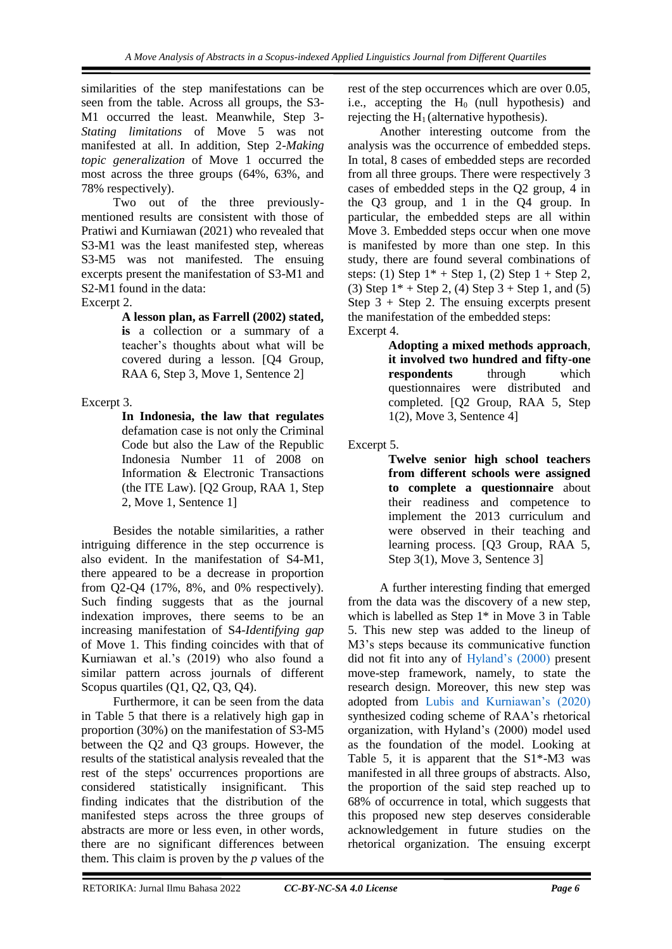similarities of the step manifestations can be seen from the table. Across all groups, the S3- M1 occurred the least. Meanwhile, Step 3- *Stating limitations* of Move 5 was not manifested at all. In addition, Step 2-*Making topic generalization* of Move 1 occurred the most across the three groups (64%, 63%, and 78% respectively).

Two out of the three previouslymentioned results are consistent with those of Pratiwi and Kurniawan (2021) who revealed that S3-M1 was the least manifested step, whereas S3-M5 was not manifested. The ensuing excerpts present the manifestation of S3-M1 and S2-M1 found in the data:

Excerpt 2.

**A lesson plan, as Farrell (2002) stated, is** a collection or a summary of a teacher's thoughts about what will be covered during a lesson. [Q4 Group, RAA 6, Step 3, Move 1, Sentence 2]

## Excerpt 3.

**In Indonesia, the law that regulates**  defamation case is not only the Criminal Code but also the Law of the Republic Indonesia Number 11 of 2008 on Information & Electronic Transactions (the ITE Law). [Q2 Group, RAA 1, Step 2, Move 1, Sentence 1]

Besides the notable similarities, a rather intriguing difference in the step occurrence is also evident. In the manifestation of S4-M1, there appeared to be a decrease in proportion from Q2-Q4 (17%, 8%, and 0% respectively). Such finding suggests that as the journal indexation improves, there seems to be an increasing manifestation of S4-*Identifying gap*  of Move 1. This finding coincides with that of Kurniawan et al.'s (2019) who also found a similar pattern across journals of different Scopus quartiles (Q1, Q2, Q3, Q4).

Furthermore, it can be seen from the data in Table 5 that there is a relatively high gap in proportion (30%) on the manifestation of S3-M5 between the Q2 and Q3 groups. However, the results of the statistical analysis revealed that the rest of the steps' occurrences proportions are considered statistically insignificant. This finding indicates that the distribution of the manifested steps across the three groups of abstracts are more or less even, in other words, there are no significant differences between them. This claim is proven by the *p* values of the

rest of the step occurrences which are over 0.05, i.e., accepting the  $H_0$  (null hypothesis) and rejecting the  $H_1$  (alternative hypothesis).

Another interesting outcome from the analysis was the occurrence of embedded steps. In total, 8 cases of embedded steps are recorded from all three groups. There were respectively 3 cases of embedded steps in the Q2 group, 4 in the Q3 group, and 1 in the Q4 group. In particular, the embedded steps are all within Move 3. Embedded steps occur when one move is manifested by more than one step. In this study, there are found several combinations of steps: (1) Step  $1^*$  + Step 1, (2) Step  $1$  + Step 2, (3) Step  $1^*$  + Step 2, (4) Step 3 + Step 1, and (5) Step 3 + Step 2. The ensuing excerpts present the manifestation of the embedded steps: Excerpt 4.

> **Adopting a mixed methods approach**, **it involved two hundred and fifty-one respondents** through which questionnaires were distributed and completed. [Q2 Group, RAA 5, Step 1(2), Move 3, Sentence 4]

Excerpt 5.

**Twelve senior high school teachers from different schools were assigned to complete a questionnaire** about their readiness and competence to implement the 2013 curriculum and were observed in their teaching and learning process. [Q3 Group, RAA 5, Step 3(1), Move 3, Sentence 3]

A further interesting finding that emerged from the data was the discovery of a new step, which is labelled as Step 1\* in Move 3 in Table 5. This new step was added to the lineup of M3's steps because its communicative function did not fit into any of [Hyland's \(2000\)](#page-9-0) present move-step framework, namely, to state the research design. Moreover, this new step was adopted from [Lubis and Kurniawan's \(2020\)](#page-9-0) synthesized coding scheme of RAA's rhetorical organization, with Hyland's (2000) model used as the foundation of the model. Looking at Table 5, it is apparent that the  $S1*-M3$  was manifested in all three groups of abstracts. Also, the proportion of the said step reached up to 68% of occurrence in total, which suggests that this proposed new step deserves considerable acknowledgement in future studies on the rhetorical organization. The ensuing excerpt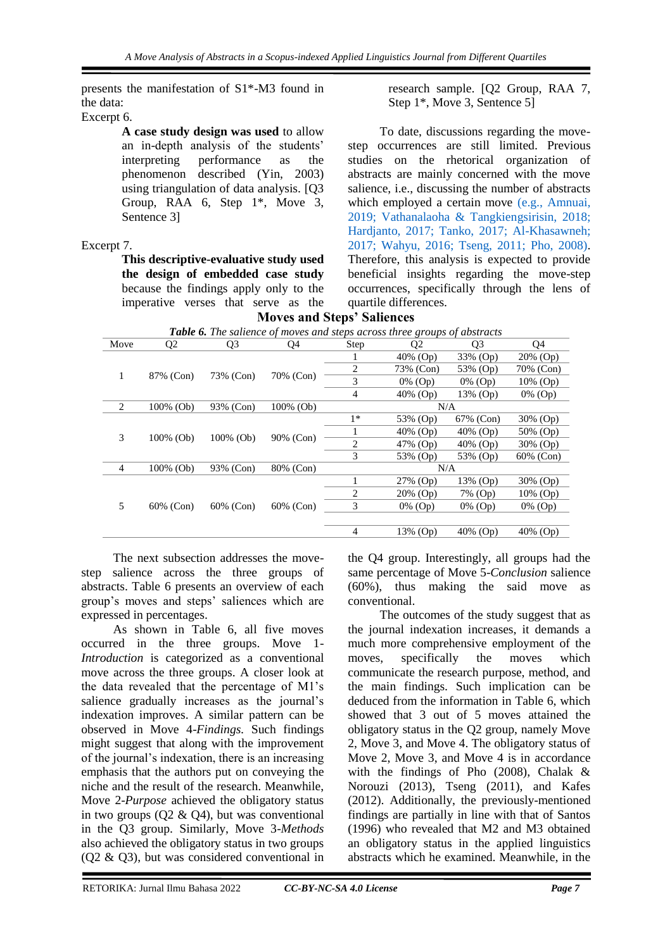presents the manifestation of S1\*-M3 found in the data:

Excerpt 6.

**A case study design was used** to allow an in-depth analysis of the students' performance as the phenomenon described (Yin, 2003) using triangulation of data analysis. [Q3 Group, RAA 6, Step 1\*, Move 3, Sentence 3]

## Excerpt 7.

**This descriptive-evaluative study used the design of embedded case study** because the findings apply only to the imperative verses that serve as the **Moves and Steps' Saliences**

research sample. [Q2 Group, RAA 7, Step 1\*, Move 3, Sentence 5]

To date, discussions regarding the movestep occurrences are still limited. Previous studies on the rhetorical organization of abstracts are mainly concerned with the move salience, i.e., discussing the number of abstracts which employed a certain move [\(e.g., Amnuai,](#page-9-0)  [2019; Vathanalaoha & Tangkiengsirisin, 2018;](#page-9-0)  [Hardjanto, 2017; Tanko, 2017; Al-Khasawneh;](#page-9-0)  [2017; Wahyu, 2016; Tseng, 2011; Pho, 2008\).](#page-9-0) Therefore, this analysis is expected to provide beneficial insights regarding the move-step occurrences, specifically through the lens of quartile differences.

| <b>Table 6.</b> The salience of moves and steps across three groups of abstracts |           |                |           |                |                |                |                |          |
|----------------------------------------------------------------------------------|-----------|----------------|-----------|----------------|----------------|----------------|----------------|----------|
| Move                                                                             | Q2        | Q <sub>3</sub> | Q4        | Step           | Q <sub>2</sub> | Q <sub>3</sub> | Q4             |          |
|                                                                                  |           |                |           | T              | $40\%$ (Op)    | 33% (Op)       | $20\%$ (Op)    |          |
| 1                                                                                |           | 73% (Con)      | 70% (Con) | $\overline{c}$ | 73% (Con)      | 53% (Op)       | 70% (Con)      |          |
|                                                                                  | 87% (Con) |                |           | 3              | $0\%$ (Op)     | $0\%$ (Op)     | 10% (Op)       |          |
|                                                                                  |           |                |           | $\overline{4}$ | $40\%$ (Op)    | 13% (Op)       | $0\%$ (Op)     |          |
| 2                                                                                | 100% (Ob) | 93% (Con)      | 100% (Ob) |                | N/A            |                |                |          |
|                                                                                  |           | $100\%$ (Ob)   |           | $1*$           | 53% (Op)       | 67% (Con)      | 30% (Op)       |          |
| 3                                                                                | 100% (Ob) |                |           |                | $40\%$ (Op)    | $40\%$ (Op)    | 50% (Op)       |          |
|                                                                                  |           |                |           |                |                | 90% (Con)      | $\overline{c}$ | 47% (Op) |
|                                                                                  |           |                |           | 3              | 53% (Op)       | 53% (Op)       | 60% (Con)      |          |
| 4                                                                                | 100% (Ob) | 93% (Con)      | 80% (Con) |                | N/A            |                |                |          |
|                                                                                  |           |                |           | 1              | 27% (Op)       | 13% (Op)       | 30% (Op)       |          |
| 5                                                                                | 60% (Con) |                | 60% (Con) |                | 2              | 20% (Op)       | 7% (Op)        | 10% (Op) |
|                                                                                  |           | 60% (Con)      |           | 3              | $0\%$ (Op)     | 0% (Op)        | 0% (Op)        |          |
|                                                                                  |           |                |           |                |                |                |                |          |
|                                                                                  |           |                |           | 4              | 13% (Op)       | $40\%$ (Op)    | 40% (Op)       |          |

The next subsection addresses the movestep salience across the three groups of abstracts. Table 6 presents an overview of each group's moves and steps' saliences which are expressed in percentages.

As shown in Table 6, all five moves occurred in the three groups. Move 1- *Introduction* is categorized as a conventional move across the three groups. A closer look at the data revealed that the percentage of M1's salience gradually increases as the journal's indexation improves. A similar pattern can be observed in Move 4-*Findings.* Such findings might suggest that along with the improvement of the journal's indexation, there is an increasing emphasis that the authors put on conveying the niche and the result of the research. Meanwhile, Move 2-*Purpose* achieved the obligatory status in two groups (Q2 & Q4), but was conventional in the Q3 group. Similarly, Move 3-*Methods*  also achieved the obligatory status in two groups (Q2 & Q3), but was considered conventional in

the Q4 group. Interestingly, all groups had the same percentage of Move 5-*Conclusion* salience (60%), thus making the said move as conventional.

The outcomes of the study suggest that as the journal indexation increases, it demands a much more comprehensive employment of the moves, specifically the moves which communicate the research purpose, method, and the main findings. Such implication can be deduced from the information in Table 6, which showed that 3 out of 5 moves attained the obligatory status in the Q2 group, namely Move 2, Move 3, and Move 4. The obligatory status of Move 2, Move 3, and Move 4 is in accordance with the findings of Pho (2008), Chalak & Norouzi (2013), Tseng (2011), and Kafes (2012). Additionally, the previously-mentioned findings are partially in line with that of Santos (1996) who revealed that M2 and M3 obtained an obligatory status in the applied linguistics abstracts which he examined. Meanwhile, in the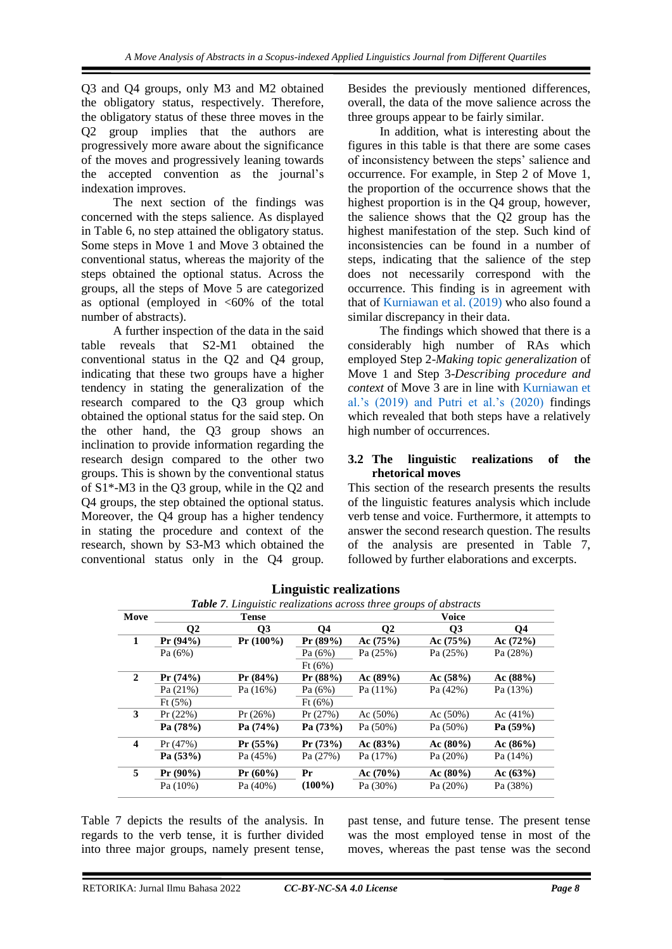Q3 and Q4 groups, only M3 and M2 obtained the obligatory status, respectively. Therefore, the obligatory status of these three moves in the Q2 group implies that the authors are progressively more aware about the significance of the moves and progressively leaning towards the accepted convention as the journal's indexation improves.

The next section of the findings was concerned with the steps salience. As displayed in Table 6, no step attained the obligatory status. Some steps in Move 1 and Move 3 obtained the conventional status, whereas the majority of the steps obtained the optional status. Across the groups, all the steps of Move 5 are categorized as optional (employed in  $<60\%$  of the total number of abstracts).

A further inspection of the data in the said table reveals that S2-M1 obtained the conventional status in the Q2 and Q4 group, indicating that these two groups have a higher tendency in stating the generalization of the research compared to the Q3 group which obtained the optional status for the said step. On the other hand, the Q3 group shows an inclination to provide information regarding the research design compared to the other two groups. This is shown by the conventional status of S1\*-M3 in the Q3 group, while in the Q2 and Q4 groups, the step obtained the optional status. Moreover, the Q4 group has a higher tendency in stating the procedure and context of the research, shown by S3-M3 which obtained the conventional status only in the Q4 group.

Besides the previously mentioned differences, overall, the data of the move salience across the three groups appear to be fairly similar.

In addition, what is interesting about the figures in this table is that there are some cases of inconsistency between the steps' salience and occurrence. For example, in Step 2 of Move 1, the proportion of the occurrence shows that the highest proportion is in the Q4 group, however, the salience shows that the Q2 group has the highest manifestation of the step. Such kind of inconsistencies can be found in a number of steps, indicating that the salience of the step does not necessarily correspond with the occurrence. This finding is in agreement with that of Kurniawan [et al. \(2019\)](#page-9-0) who also found a similar discrepancy in their data.

The findings which showed that there is a considerably high number of RAs which employed Step 2-*Making topic generalization* of Move 1 and Step 3-*Describing procedure and context* of Move 3 are in line with [Kurniawan et](#page-9-0)  [al.'s \(2019\) and Putri et al.'s \(2020\)](#page-9-0) findings which revealed that both steps have a relatively high number of occurrences.

#### **3.2 The linguistic realizations of the rhetorical moves**

This section of the research presents the results of the linguistic features analysis which include verb tense and voice. Furthermore, it attempts to answer the second research question. The results of the analysis are presented in Table 7, followed by further elaborations and excerpts.

|                         | <b>Table 7.</b> Linguistic realizations across three groups of abstracts |                |            |              |                |             |  |  |  |
|-------------------------|--------------------------------------------------------------------------|----------------|------------|--------------|----------------|-------------|--|--|--|
| Move                    |                                                                          | Tense          |            | <b>Voice</b> |                |             |  |  |  |
|                         | $\bf{O}2$                                                                | Q <sub>3</sub> | <b>Q4</b>  | $\mathbf{Q}$ | Q <sub>3</sub> | <b>Q4</b>   |  |  |  |
| 1                       | $Pr(94\%)$                                                               | $Pr(100\%)$    | $Pr(89\%)$ | Ac(75%)      | Ac(75%)        | Ac(72%)     |  |  |  |
|                         | Pa $(6%)$                                                                |                | Pa(6%)     | Pa $(25%)$   | Pa $(25%)$     | Pa (28%)    |  |  |  |
|                         |                                                                          |                | Ft(6%)     |              |                |             |  |  |  |
| $\mathbf{2}$            | Pr(74%)                                                                  | $Pr(84\%)$     | $Pr(88\%)$ | Ac $(89\%)$  | Ac(58%)        | Ac (88%)    |  |  |  |
|                         | Pa $(21%)$                                                               | Pa(16%)        | Pa(6%)     | Pa(11%)      | Pa $(42%)$     | Pa(13%)     |  |  |  |
|                         | Ft(5%)                                                                   |                | Ft(6%)     |              |                |             |  |  |  |
| 3                       | $Pr(22\%)$                                                               | $Pr(26\%)$     | Pr(27%)    | Ac $(50\%)$  | Ac $(50\%)$    | Ac $(41%)$  |  |  |  |
|                         | Pa (78%)                                                                 | Pa (74%)       | Pa (73%)   | Pa(50%)      | Pa (50%)       | Pa(59%)     |  |  |  |
| $\overline{\mathbf{4}}$ | Pr(47%)                                                                  | $Pr(55\%)$     | Pr(73%)    | Ac $(83\%)$  | $Ac (80\%)$    | $Ac (86\%)$ |  |  |  |
|                         | Pa(53%)                                                                  | Pa(45%)        | Pa(27%)    | Pa(17%)      | Pa(20%)        | Pa(14%)     |  |  |  |
| 5                       | $Pr(90\%)$                                                               | $Pr(60\%)$     | Pr         | $Ac(70\%)$   | $Ac (80\%)$    | Ac(63%)     |  |  |  |
|                         | Pa(10%)                                                                  | Pa $(40\%)$    | $(100\%)$  | Pa (30%)     | Pa $(20%)$     | Pa (38%)    |  |  |  |

**Linguistic realizations**

Table 7 depicts the results of the analysis. In regards to the verb tense, it is further divided into three major groups, namely present tense, past tense, and future tense. The present tense was the most employed tense in most of the moves, whereas the past tense was the second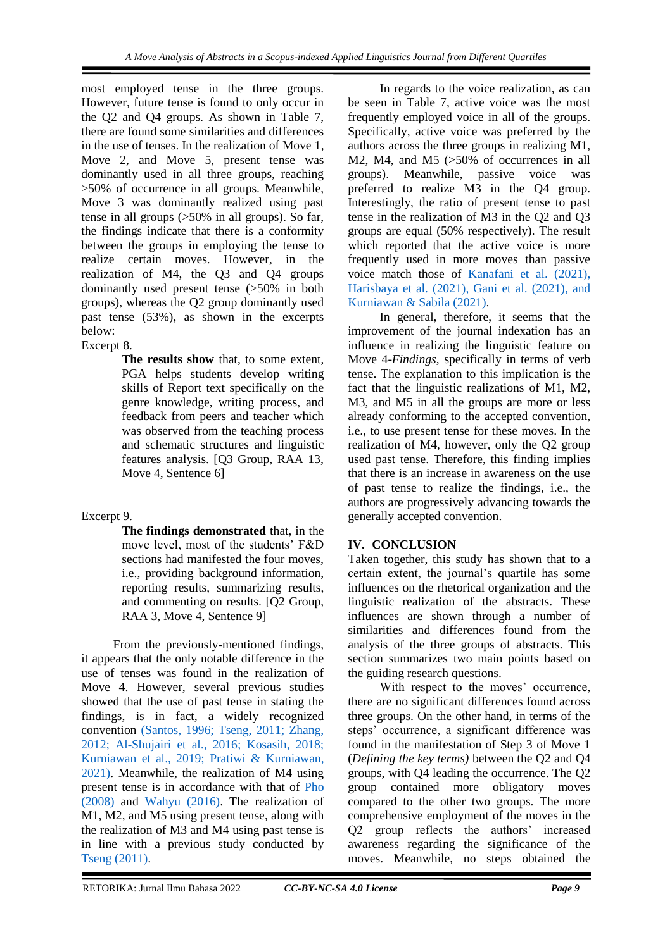most employed tense in the three groups. However, future tense is found to only occur in the Q2 and Q4 groups. As shown in Table 7, there are found some similarities and differences in the use of tenses. In the realization of Move 1, Move 2, and Move 5, present tense was dominantly used in all three groups, reaching >50% of occurrence in all groups. Meanwhile, Move 3 was dominantly realized using past tense in all groups (>50% in all groups). So far, the findings indicate that there is a conformity between the groups in employing the tense to realize certain moves. However, in the realization of M4, the Q3 and Q4 groups dominantly used present tense (>50% in both groups), whereas the Q2 group dominantly used past tense (53%), as shown in the excerpts below:

Excerpt 8.

**The results show** that, to some extent, PGA helps students develop writing skills of Report text specifically on the genre knowledge, writing process, and feedback from peers and teacher which was observed from the teaching process and schematic structures and linguistic features analysis. [Q3 Group, RAA 13, Move 4, Sentence 6]

## Excerpt 9.

**The findings demonstrated** that, in the move level, most of the students' F&D sections had manifested the four moves, i.e., providing background information, reporting results, summarizing results, and commenting on results. [Q2 Group, RAA 3, Move 4, Sentence 9]

From the previously-mentioned findings, it appears that the only notable difference in the use of tenses was found in the realization of Move 4. However, several previous studies showed that the use of past tense in stating the findings, is in fact, a widely recognized convention [\(Santos, 1996; Tseng, 2011; Zhang,](#page-9-0)  [2012; Al-Shujairi et al., 2016; Kosasih, 2018;](#page-9-0)  [Kurniawan et al., 2019; Pratiwi & Kurniawan,](#page-9-0)  [2021\).](#page-9-0) Meanwhile, the realization of M4 using present tense is in accordance with that of [Pho](#page-9-0)  [\(2008\)](#page-9-0) and [Wahyu \(2016\).](#page-9-0) The realization of M1, M2, and M5 using present tense, along with the realization of M3 and M4 using past tense is in line with a previous study conducted by [Tseng \(2011\).](#page-9-0)

In regards to the voice realization, as can be seen in Table 7, active voice was the most frequently employed voice in all of the groups. Specifically, active voice was preferred by the authors across the three groups in realizing M1, M2, M4, and M5 ( $>50\%$  of occurrences in all groups). Meanwhile, passive voice was preferred to realize M3 in the Q4 group. Interestingly, the ratio of present tense to past tense in the realization of M3 in the Q2 and Q3 groups are equal (50% respectively). The result which reported that the active voice is more frequently used in more moves than passive voice match those of [Kanafani et al. \(2021\),](#page-9-0)  [Harisbaya et al. \(2021\), Gani et al. \(2021\), and](#page-9-0)  [Kurniawan & Sabila \(2021\).](#page-9-0)

In general, therefore, it seems that the improvement of the journal indexation has an influence in realizing the linguistic feature on Move 4-*Findings*, specifically in terms of verb tense. The explanation to this implication is the fact that the linguistic realizations of M1, M2, M3, and M5 in all the groups are more or less already conforming to the accepted convention, i.e., to use present tense for these moves. In the realization of M4, however, only the Q2 group used past tense. Therefore, this finding implies that there is an increase in awareness on the use of past tense to realize the findings, i.e., the authors are progressively advancing towards the generally accepted convention.

# **IV. CONCLUSION**

Taken together, this study has shown that to a certain extent, the journal's quartile has some influences on the rhetorical organization and the linguistic realization of the abstracts. These influences are shown through a number of similarities and differences found from the analysis of the three groups of abstracts. This section summarizes two main points based on the guiding research questions.

With respect to the moves' occurrence, there are no significant differences found across three groups. On the other hand, in terms of the steps' occurrence, a significant difference was found in the manifestation of Step 3 of Move 1 (*Defining the key terms)* between the Q2 and Q4 groups, with Q4 leading the occurrence. The Q2 group contained more obligatory moves compared to the other two groups. The more comprehensive employment of the moves in the Q2 group reflects the authors' increased awareness regarding the significance of the moves. Meanwhile, no steps obtained the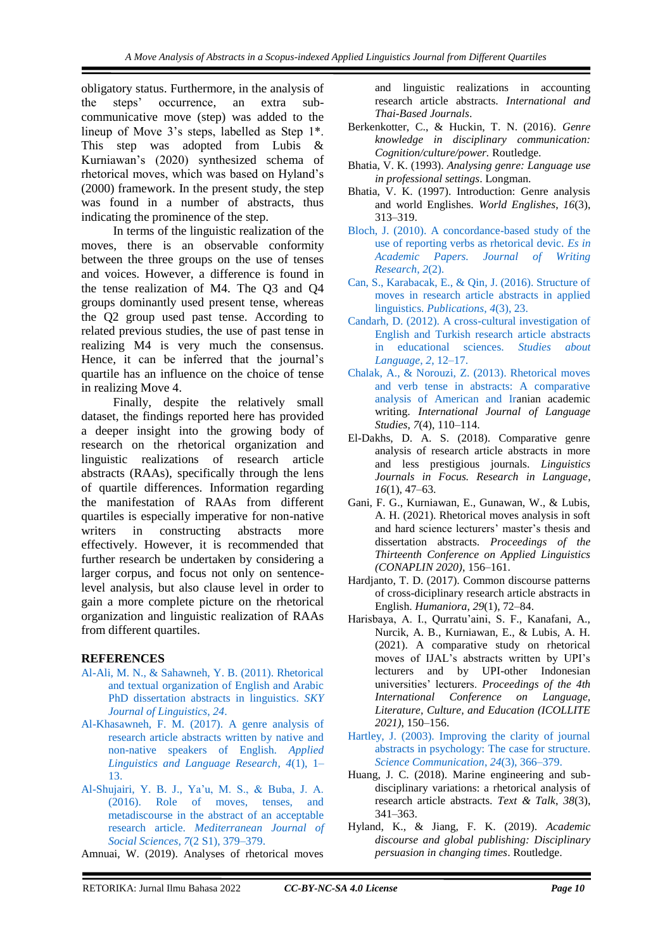obligatory status. Furthermore, in the analysis of the steps' occurrence, an extra subcommunicative move (step) was added to the lineup of Move 3's steps, labelled as Step 1\*. This step was adopted from Lubis & Kurniawan's (2020) synthesized schema of rhetorical moves, which was based on Hyland's (2000) framework. In the present study, the step was found in a number of abstracts, thus indicating the prominence of the step.

In terms of the linguistic realization of the moves, there is an observable conformity between the three groups on the use of tenses and voices. However, a difference is found in the tense realization of M4. The Q3 and Q4 groups dominantly used present tense, whereas the Q2 group used past tense. According to related previous studies, the use of past tense in realizing M4 is very much the consensus. Hence, it can be inferred that the journal's quartile has an influence on the choice of tense in realizing Move 4.

Finally, despite the relatively small dataset, the findings reported here has provided a deeper insight into the growing body of research on the rhetorical organization and linguistic realizations of research article abstracts (RAAs), specifically through the lens of quartile differences. Information regarding the manifestation of RAAs from different quartiles is especially imperative for non-native writers in constructing abstracts more effectively. However, it is recommended that further research be undertaken by considering a larger corpus, and focus not only on sentencelevel analysis, but also clause level in order to gain a more complete picture on the rhetorical organization and linguistic realization of RAAs from different quartiles.

#### <span id="page-9-0"></span>**REFERENCES**

- [Al-Ali, M. N., & Sahawneh, Y. B. \(2011\). Rhetorical](https://www.researchgate.net/publication/286615473_Rhetorical_and_textual_organization_of_English_and_Arabic_PhD_dissertation_abstracts_in_linguistics)  [and textual organization of English and Arabic](https://www.researchgate.net/publication/286615473_Rhetorical_and_textual_organization_of_English_and_Arabic_PhD_dissertation_abstracts_in_linguistics)  [PhD dissertation abstracts in linguistics.](https://www.researchgate.net/publication/286615473_Rhetorical_and_textual_organization_of_English_and_Arabic_PhD_dissertation_abstracts_in_linguistics) *SKY [Journal of Linguistics](https://www.researchgate.net/publication/286615473_Rhetorical_and_textual_organization_of_English_and_Arabic_PhD_dissertation_abstracts_in_linguistics)*, *24*.
- [Al-Khasawneh, F. M. \(2017\). A genre analysis of](https://www.researchgate.net/publication/312041134_A_Genre_Analysis_of_Research_Article_Abstracts_Written_by_Native_and_Non-Native_Speakers_of_English)  [research article abstracts written by native and](https://www.researchgate.net/publication/312041134_A_Genre_Analysis_of_Research_Article_Abstracts_Written_by_Native_and_Non-Native_Speakers_of_English)  [non-native speakers of English.](https://www.researchgate.net/publication/312041134_A_Genre_Analysis_of_Research_Article_Abstracts_Written_by_Native_and_Non-Native_Speakers_of_English) *Applied [Linguistics and Language Research](https://www.researchgate.net/publication/312041134_A_Genre_Analysis_of_Research_Article_Abstracts_Written_by_Native_and_Non-Native_Speakers_of_English)*, *4*(1), 1– [13.](https://www.researchgate.net/publication/312041134_A_Genre_Analysis_of_Research_Article_Abstracts_Written_by_Native_and_Non-Native_Speakers_of_English)
- [Al-Shujairi, Y. B. J., Ya'u, M. S., & Buba, J. A.](https://www.academia.edu/23287340/Role_of_Moves_Tenses_and_Metadiscourse_in_the_Abstract_of_an_Acceptable_Research_Article)  [\(2016\). Role of moves, tenses, and](https://www.academia.edu/23287340/Role_of_Moves_Tenses_and_Metadiscourse_in_the_Abstract_of_an_Acceptable_Research_Article)  [metadiscourse in the abstract of an acceptable](https://www.academia.edu/23287340/Role_of_Moves_Tenses_and_Metadiscourse_in_the_Abstract_of_an_Acceptable_Research_Article)  research article. *[Mediterranean Journal of](https://www.academia.edu/23287340/Role_of_Moves_Tenses_and_Metadiscourse_in_the_Abstract_of_an_Acceptable_Research_Article)  Social Sciences*, *7*[\(2 S1\), 379–379.](https://www.academia.edu/23287340/Role_of_Moves_Tenses_and_Metadiscourse_in_the_Abstract_of_an_Acceptable_Research_Article)
- Amnuai, W. (2019). Analyses of rhetorical moves

and linguistic realizations in accounting research article abstracts. *International and Thai-Based Journals*.

- Berkenkotter, C., & Huckin, T. N. (2016). *Genre knowledge in disciplinary communication: Cognition/culture/power.* Routledge.
- Bhatia, V. K. (1993). *Analysing genre: Language use in professional settings*. Longman.
- Bhatia, V. K. (1997). Introduction: Genre analysis and world Englishes. *World Englishes*, *16*(3), 313–319.
- [Bloch, J. \(2010\). A concordance-based study of the](https://www.researchgate.net/publication/45601547_A_Concordance-based_Study_of_the_Use_of_Reporting_Verbs_as_Rhetorical_Devices_in_Academic_Papers)  [use of reporting verbs as rhetorical devic.](https://www.researchgate.net/publication/45601547_A_Concordance-based_Study_of_the_Use_of_Reporting_Verbs_as_Rhetorical_Devices_in_Academic_Papers) *Es in [Academic Papers. Journal of Writing](https://www.researchgate.net/publication/45601547_A_Concordance-based_Study_of_the_Use_of_Reporting_Verbs_as_Rhetorical_Devices_in_Academic_Papers)  [Research](https://www.researchgate.net/publication/45601547_A_Concordance-based_Study_of_the_Use_of_Reporting_Verbs_as_Rhetorical_Devices_in_Academic_Papers)*, *2*(2).
- [Can, S., Karabacak, E., & Qin, J. \(2016\). Structure of](https://www.mdpi.com/2304-6775/4/3/23)  [moves in research article abstracts in applied](https://www.mdpi.com/2304-6775/4/3/23)  linguistics. *[Publications](https://www.mdpi.com/2304-6775/4/3/23)*, *4*(3), 23.
- [Candarh, D. \(2012\). A cross-cultural investigation of](https://www.semanticscholar.org/paper/A-Cross-cultural-Investigation-of-English-and-in-%C3%87andarl%C4%B1/e830fae0e531a2762e732fec4108d41ff8e01b8a)  [English and Turkish research article abstracts](https://www.semanticscholar.org/paper/A-Cross-cultural-Investigation-of-English-and-in-%C3%87andarl%C4%B1/e830fae0e531a2762e732fec4108d41ff8e01b8a)  [in educational sciences.](https://www.semanticscholar.org/paper/A-Cross-cultural-Investigation-of-English-and-in-%C3%87andarl%C4%B1/e830fae0e531a2762e732fec4108d41ff8e01b8a) *Studies about [Language](https://www.semanticscholar.org/paper/A-Cross-cultural-Investigation-of-English-and-in-%C3%87andarl%C4%B1/e830fae0e531a2762e732fec4108d41ff8e01b8a)*, *2*, 12–17.
- [Chalak, A., & Norouzi, Z. \(2013\). Rhetorical moves](https://www.researchgate.net/publication/262413576_Rhetorical_moves_and_verb_tense_in_abstracts_A_comparative_analysis_of_American_and_Iranian_academic_writing)  [and verb tense in abstracts: A comparative](https://www.researchgate.net/publication/262413576_Rhetorical_moves_and_verb_tense_in_abstracts_A_comparative_analysis_of_American_and_Iranian_academic_writing)  [analysis of American and Ira](https://www.researchgate.net/publication/262413576_Rhetorical_moves_and_verb_tense_in_abstracts_A_comparative_analysis_of_American_and_Iranian_academic_writing)nian academic writing. *International Journal of Language Studies*, *7*(4), 110–114.
- El-Dakhs, D. A. S. (2018). Comparative genre analysis of research article abstracts in more and less prestigious journals. *Linguistics Journals in Focus. Research in Language*, *16*(1), 47–63.
- Gani, F. G., Kurniawan, E., Gunawan, W., & Lubis, A. H. (2021). Rhetorical moves analysis in soft and hard science lecturers' master's thesis and dissertation abstracts. *Proceedings of the Thirteenth Conference on Applied Linguistics (CONAPLIN 2020)*, 156–161.
- Hardjanto, T. D. (2017). Common discourse patterns of cross-diciplinary research article abstracts in English. *Humaniora*, *29*(1), 72–84.
- Harisbaya, A. I., Qurratu'aini, S. F., Kanafani, A., Nurcik, A. B., Kurniawan, E., & Lubis, A. H. (2021). A comparative study on rhetorical moves of IJAL's abstracts written by UPI's lecturers and by UPI-other Indonesian universities' lecturers. *Proceedings of the 4th International Conference on Language, Literature, Culture, and Education (ICOLLITE 2021)*, 150–156.
- [Hartley, J. \(2003\). Improving the clarity of journal](https://journals.sagepub.com/doi/abs/10.1177/1075547002250301)  [abstracts in psychology: The case for structure.](https://journals.sagepub.com/doi/abs/10.1177/1075547002250301)  *[Science Communication](https://journals.sagepub.com/doi/abs/10.1177/1075547002250301)*, *24*(3), 366–379.
- Huang, J. C. (2018). Marine engineering and subdisciplinary variations: a rhetorical analysis of research article abstracts. *Text & Talk*, *38*(3), 341–363.
- Hyland, K., & Jiang, F. K. (2019). *Academic discourse and global publishing: Disciplinary persuasion in changing times*. Routledge.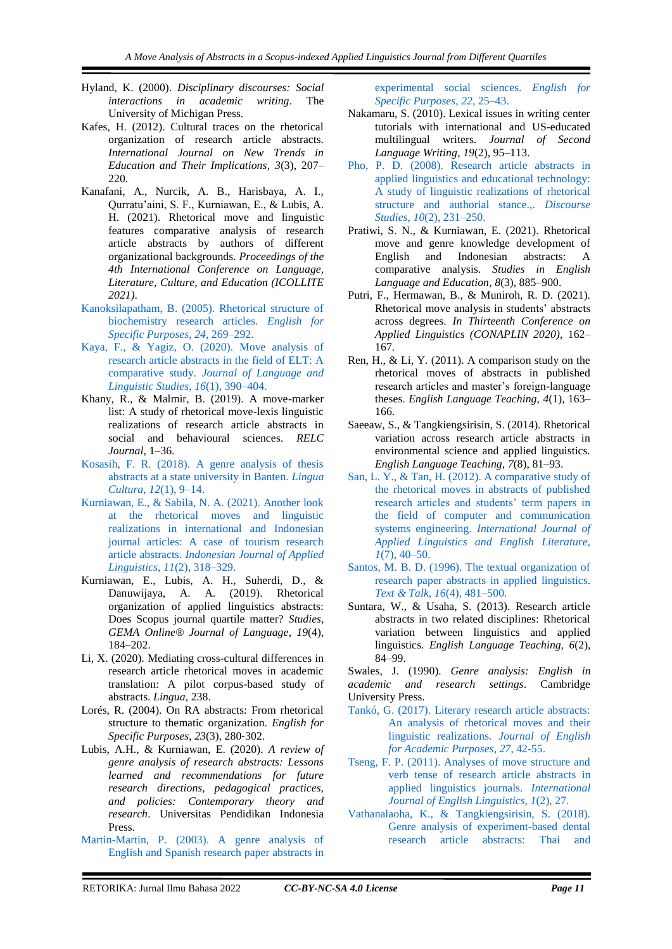- Hyland, K. (2000). *Disciplinary discourses: Social interactions in academic writing*. The University of Michigan Press.
- Kafes, H. (2012). Cultural traces on the rhetorical organization of research article abstracts. *International Journal on New Trends in Education and Their Implications*, *3*(3), 207– 220.
- Kanafani, A., Nurcik, A. B., Harisbaya, A. I., Qurratu'aini, S. F., Kurniawan, E., & Lubis, A. H. (2021). Rhetorical move and linguistic features comparative analysis of research article abstracts by authors of different organizational backgrounds. *Proceedings of the 4th International Conference on Language, Literature, Culture, and Education (ICOLLITE 2021)*.
- [Kanoksilapatham, B. \(2005\). Rhetorical structure of](https://www.researchgate.net/publication/283495305_Rhetorical_structure_of_biochemistry_research_articles)  [biochemistry research articles.](https://www.researchgate.net/publication/283495305_Rhetorical_structure_of_biochemistry_research_articles) *English for [Specific Purposes](https://www.researchgate.net/publication/283495305_Rhetorical_structure_of_biochemistry_research_articles)*, *24*, 269–292.
- [Kaya, F., & Yagiz, O. \(2020\). Move analysis of](https://dergipark.org.tr/en/pub/jlls/issue/53516/712854)  [research article abstracts in the field of ELT: A](https://dergipark.org.tr/en/pub/jlls/issue/53516/712854)  comparative study. *[Journal of Language and](https://dergipark.org.tr/en/pub/jlls/issue/53516/712854)  [Linguistic Studies](https://dergipark.org.tr/en/pub/jlls/issue/53516/712854)*, *16*(1), 390–404.
- Khany, R., & Malmir, B. (2019). A move-marker list: A study of rhetorical move-lexis linguistic realizations of research article abstracts in social and behavioural sciences. *RELC Journal*, 1–36.
- [Kosasih, F. R. \(2018\). A genre analysis of thesis](https://www.researchgate.net/publication/322790003_A_Genre_Analysis_of_Thesis_Abtracts_at_a_State_University_in_Banten)  [abstracts at a state university in Banten.](https://www.researchgate.net/publication/322790003_A_Genre_Analysis_of_Thesis_Abtracts_at_a_State_University_in_Banten) *Lingua Cultura*, *12*[\(1\), 9–14.](https://www.researchgate.net/publication/322790003_A_Genre_Analysis_of_Thesis_Abtracts_at_a_State_University_in_Banten)
- [Kurniawan, E., & Sabila, N. A. \(2021\). Another look](https://vm36.upi.edu/index.php/IJAL/issue/view/2306https:/vm36.upi.edu/index.php/IJAL/issue/view/2306)  [at the rhetorical moves and linguistic](https://vm36.upi.edu/index.php/IJAL/issue/view/2306https:/vm36.upi.edu/index.php/IJAL/issue/view/2306)  [realizations in international and Indonesian](https://vm36.upi.edu/index.php/IJAL/issue/view/2306https:/vm36.upi.edu/index.php/IJAL/issue/view/2306)  [journal articles: A case of tourism research](https://vm36.upi.edu/index.php/IJAL/issue/view/2306https:/vm36.upi.edu/index.php/IJAL/issue/view/2306)  article abstracts. *[Indonesian Journal of Applied](https://vm36.upi.edu/index.php/IJAL/issue/view/2306https:/vm36.upi.edu/index.php/IJAL/issue/view/2306)  Linguistics*, *11*[\(2\), 318–329.](https://vm36.upi.edu/index.php/IJAL/issue/view/2306https:/vm36.upi.edu/index.php/IJAL/issue/view/2306)
- Kurniawan, E., Lubis, A. H., Suherdi, D., & Danuwijaya, A. A. (2019). Rhetorical organization of applied linguistics abstracts: Does Scopus journal quartile matter? *Studies, GEMA Online® Journal of Language*, *19*(4), 184–202.
- Li, X. (2020). Mediating cross-cultural differences in research article rhetorical moves in academic translation: A pilot corpus-based study of abstracts. *Lingua*, 238.
- Lorés, R. (2004). On RA abstracts: From rhetorical structure to thematic organization. *English for Specific Purposes*, *23*(3), 280‐302.
- Lubis, A.H., & Kurniawan, E. (2020). *A review of genre analysis of research abstracts: Lessons learned and recommendations for future research directions, pedagogical practices, and policies: Contemporary theory and research*. Universitas Pendidikan Indonesia **Press**
- [Martin-Martin, P. \(2003\). A genre analysis of](https://www.sciencedirect.com/science/article/abs/pii/S0889490601000333)  [English and Spanish research paper abstracts in](https://www.sciencedirect.com/science/article/abs/pii/S0889490601000333)

[experimental social sciences.](https://www.sciencedirect.com/science/article/abs/pii/S0889490601000333) *English for [Specific Purposes](https://www.sciencedirect.com/science/article/abs/pii/S0889490601000333)*, *22*, 25–43.

- Nakamaru, S. (2010). Lexical issues in writing center tutorials with international and US-educated multilingual writers. *Journal of Second Language Writing*, *19*(2), 95–113.
- [Pho, P. D. \(2008\). Research article abstracts in](https://journals.sagepub.com/doi/abs/10.1177/1461445607087010)  [applied linguistics and educational technology:](https://journals.sagepub.com/doi/abs/10.1177/1461445607087010)  [A study of linguistic realizations of rhetorical](https://journals.sagepub.com/doi/abs/10.1177/1461445607087010)  [structure and authorial stance.,.](https://journals.sagepub.com/doi/abs/10.1177/1461445607087010) *Discourse Studies*, *10*[\(2\), 231–250.](https://journals.sagepub.com/doi/abs/10.1177/1461445607087010)
- Pratiwi, S. N., & Kurniawan, E. (2021). Rhetorical move and genre knowledge development of<br>English and Indonesian abstracts: A English and Indonesian abstracts: A comparative analysis. *Studies in English Language and Education*, *8*(3), 885–900.
- Putri, F., Hermawan, B., & Muniroh, R. D. (2021). Rhetorical move analysis in students' abstracts across degrees. *In Thirteenth Conference on Applied Linguistics (CONAPLIN 2020)*, 162– 167.
- Ren, H., & Li, Y. (2011). A comparison study on the rhetorical moves of abstracts in published research articles and master's foreign-language theses. *English Language Teaching, 4*(1), 163– 166.
- Saeeaw, S., & Tangkiengsirisin, S. (2014). Rhetorical variation across research article abstracts in environmental science and applied linguistics. *English Language Teaching, 7*(8), 81–93.
- San, L. Y., & [Tan, H. \(2012\). A comparative study of](https://www.researchgate.net/publication/271027219_A_Comparative_Study_of_the_Rhetorical_Moves_in_Abstracts_of_Published_Research_Articles_and_Students%27Term_Papers_in_the_Field_of_Computer_and_Communication_Systems_Engineering)  [the rhetorical moves in abstracts of published](https://www.researchgate.net/publication/271027219_A_Comparative_Study_of_the_Rhetorical_Moves_in_Abstracts_of_Published_Research_Articles_and_Students%27Term_Papers_in_the_Field_of_Computer_and_Communication_Systems_Engineering)  [research articles and students' term papers in](https://www.researchgate.net/publication/271027219_A_Comparative_Study_of_the_Rhetorical_Moves_in_Abstracts_of_Published_Research_Articles_and_Students%27Term_Papers_in_the_Field_of_Computer_and_Communication_Systems_Engineering)  [the field of computer and communication](https://www.researchgate.net/publication/271027219_A_Comparative_Study_of_the_Rhetorical_Moves_in_Abstracts_of_Published_Research_Articles_and_Students%27Term_Papers_in_the_Field_of_Computer_and_Communication_Systems_Engineering)  systems engineering. *[International Journal of](https://www.researchgate.net/publication/271027219_A_Comparative_Study_of_the_Rhetorical_Moves_in_Abstracts_of_Published_Research_Articles_and_Students%27Term_Papers_in_the_Field_of_Computer_and_Communication_Systems_Engineering)  [Applied Linguistics and English Literature](https://www.researchgate.net/publication/271027219_A_Comparative_Study_of_the_Rhetorical_Moves_in_Abstracts_of_Published_Research_Articles_and_Students%27Term_Papers_in_the_Field_of_Computer_and_Communication_Systems_Engineering)*, *1*[\(7\), 40–50.](https://www.researchgate.net/publication/271027219_A_Comparative_Study_of_the_Rhetorical_Moves_in_Abstracts_of_Published_Research_Articles_and_Students%27Term_Papers_in_the_Field_of_Computer_and_Communication_Systems_Engineering)
- [Santos, M. B. D. \(1996\). The textual organization of](https://www.academia.edu/30363605/_dos_santos_m_b_1996_the_textual_organization_of_research_paper_abstracts_in_applied_linguistics_)  [research paper abstracts in applied linguistics.](https://www.academia.edu/30363605/_dos_santos_m_b_1996_the_textual_organization_of_research_paper_abstracts_in_applied_linguistics_)  *Text & Talk*, *16*[\(4\), 481–500.](https://www.academia.edu/30363605/_dos_santos_m_b_1996_the_textual_organization_of_research_paper_abstracts_in_applied_linguistics_)
- Suntara, W., & Usaha, S. (2013). Research article abstracts in two related disciplines: Rhetorical variation between linguistics and applied linguistics. *English Language Teaching, 6*(2), 84–99.

Swales, J. (1990). *Genre analysis: English in academic and research settings*. Cambridge University Press.

- [Tankó, G. \(2017\). Literary research article abstracts:](https://www.sciencedirect.com/science/article/abs/pii/S1475158517300243)  [An analysis of rhetorical moves and their](https://www.sciencedirect.com/science/article/abs/pii/S1475158517300243)  [linguistic realizations.](https://www.sciencedirect.com/science/article/abs/pii/S1475158517300243) *Journal of English [for Academic Purposes](https://www.sciencedirect.com/science/article/abs/pii/S1475158517300243)*, *27*, 42-55.
- [Tseng, F. P. \(2011\). Analyses of move structure and](https://pdfs.semanticscholar.org/637c/867727eb949c845cf56fde1268c00d09f5f8.pdf)  [verb tense of research article abstracts in](https://pdfs.semanticscholar.org/637c/867727eb949c845cf56fde1268c00d09f5f8.pdf)  [applied linguistics journals.](https://pdfs.semanticscholar.org/637c/867727eb949c845cf56fde1268c00d09f5f8.pdf) *International [Journal of English Linguistics](https://pdfs.semanticscholar.org/637c/867727eb949c845cf56fde1268c00d09f5f8.pdf)*, *1*(2), 27.
- [Vathanalaoha, K., & Tangkiengsirisin, S. \(2018\).](https://ejournals.ukm.my/3l/article/view/21565)  [Genre analysis of experiment-based dental](https://ejournals.ukm.my/3l/article/view/21565)  [research article abstracts: Thai and](https://ejournals.ukm.my/3l/article/view/21565)